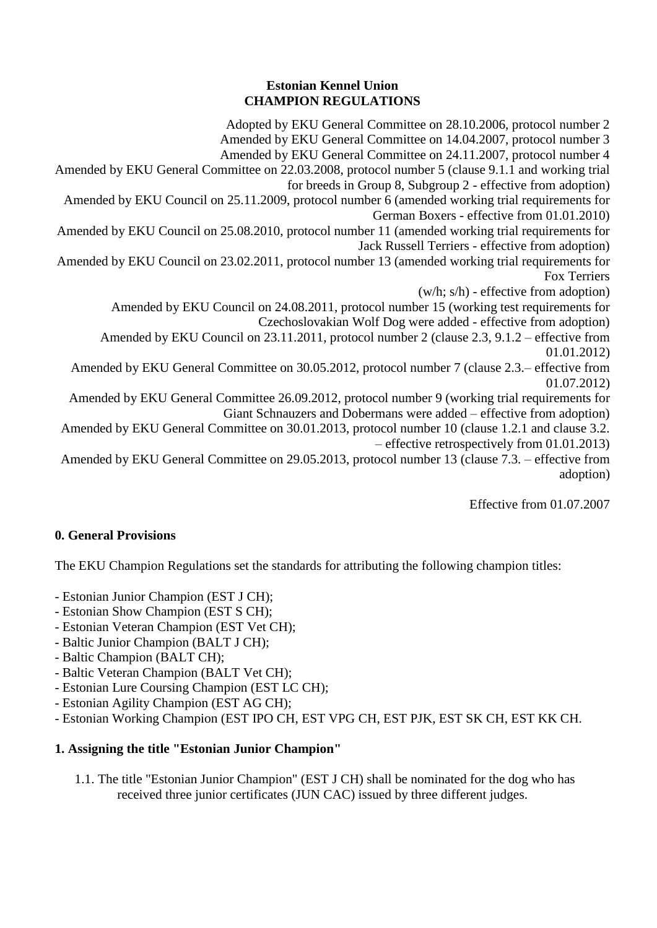#### **Estonian Kennel Union CHAMPION REGULATIONS**

Adopted by EKU General Committee on 28.10.2006, protocol number 2 Amended by EKU General Committee on 14.04.2007, protocol number 3 Amended by EKU General Committee on 24.11.2007, protocol number 4 Amended by EKU General Committee on 22.03.2008, protocol number 5 (clause 9.1.1 and working trial for breeds in Group 8, Subgroup 2 - effective from adoption) Amended by EKU Council on 25.11.2009, protocol number 6 (amended working trial requirements for German Boxers - effective from 01.01.2010) Amended by EKU Council on 25.08.2010, protocol number 11 (amended working trial requirements for Jack Russell Terriers - effective from adoption) Amended by EKU Council on 23.02.2011, protocol number 13 (amended working trial requirements for Fox Terriers (w/h; s/h) - effective from adoption) Amended by EKU Council on 24.08.2011, protocol number 15 (working test requirements for Czechoslovakian Wolf Dog were added - effective from adoption) Amended by EKU Council on 23.11.2011, protocol number 2 (clause 2.3, 9.1.2 – effective from 01.01.2012) Amended by EKU General Committee on 30.05.2012, protocol number 7 (clause 2.3.– effective from 01.07.2012) Amended by EKU General Committee 26.09.2012, protocol number 9 (working trial requirements for Giant Schnauzers and Dobermans were added – effective from adoption) Amended by EKU General Committee on 30.01.2013, protocol number 10 (clause 1.2.1 and clause 3.2. – effective retrospectively from 01.01.2013) Amended by EKU General Committee on 29.05.2013, protocol number 13 (clause 7.3. – effective from adoption)

Effective from 01.07.2007

# **0. General Provisions**

The EKU Champion Regulations set the standards for attributing the following champion titles:

- Estonian Junior Champion (EST J CH);
- Estonian Show Champion (EST S CH);
- Estonian Veteran Champion (EST Vet CH);
- Baltic Junior Champion (BALT J CH);
- Baltic Champion (BALT CH);
- Baltic Veteran Champion (BALT Vet CH);
- Estonian Lure Coursing Champion (EST LC CH);
- Estonian Agility Champion (EST AG CH);
- Estonian Working Champion (EST IPO CH, EST VPG CH, EST PJK, EST SK CH, EST KK CH.

# **1. Assigning the title "Estonian Junior Champion"**

1.1. The title "Estonian Junior Champion" (EST J CH) shall be nominated for the dog who has received three junior certificates (JUN CAC) issued by three different judges.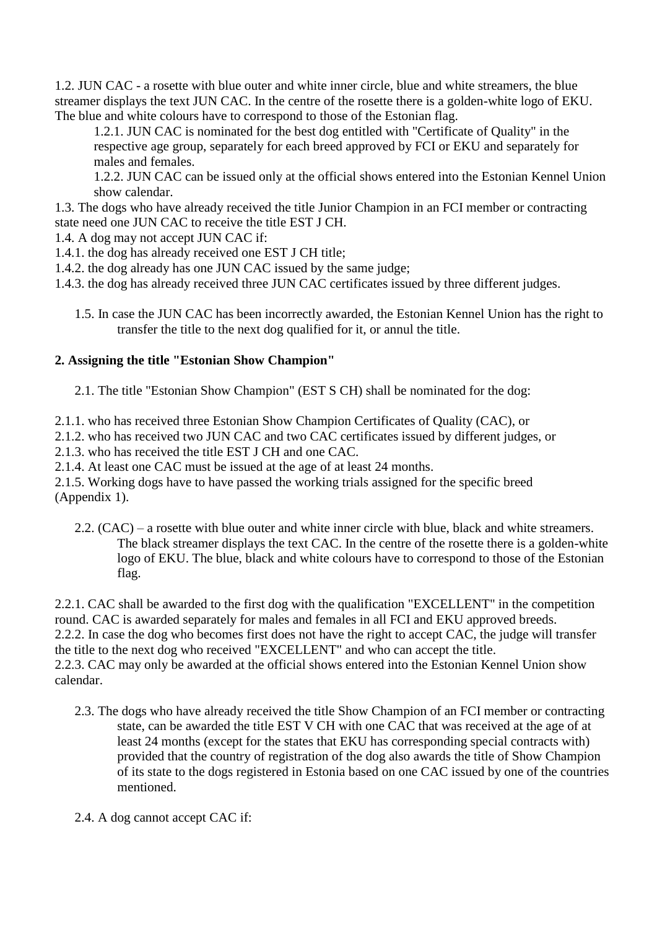1.2. JUN CAC - a rosette with blue outer and white inner circle, blue and white streamers, the blue streamer displays the text JUN CAC. In the centre of the rosette there is a golden-white logo of EKU. The blue and white colours have to correspond to those of the Estonian flag.

1.2.1. JUN CAC is nominated for the best dog entitled with "Certificate of Quality" in the respective age group, separately for each breed approved by FCI or EKU and separately for males and females.

1.2.2. JUN CAC can be issued only at the official shows entered into the Estonian Kennel Union show calendar.

1.3. The dogs who have already received the title Junior Champion in an FCI member or contracting state need one JUN CAC to receive the title EST J CH.

1.4. A dog may not accept JUN CAC if:

1.4.1. the dog has already received one EST J CH title;

1.4.2. the dog already has one JUN CAC issued by the same judge;

- 1.4.3. the dog has already received three JUN CAC certificates issued by three different judges.
	- 1.5. In case the JUN CAC has been incorrectly awarded, the Estonian Kennel Union has the right to transfer the title to the next dog qualified for it, or annul the title.

## **2. Assigning the title "Estonian Show Champion"**

2.1. The title "Estonian Show Champion" (EST S CH) shall be nominated for the dog:

2.1.1. who has received three Estonian Show Champion Certificates of Quality (CAC), or

2.1.2. who has received two JUN CAC and two CAC certificates issued by different judges, or

2.1.3. who has received the title EST J CH and one CAC.

2.1.4. At least one CAC must be issued at the age of at least 24 months.

2.1.5. Working dogs have to have passed the working trials assigned for the specific breed (Appendix 1).

2.2. (CAC) – a rosette with blue outer and white inner circle with blue, black and white streamers. The black streamer displays the text CAC. In the centre of the rosette there is a golden-white logo of EKU. The blue, black and white colours have to correspond to those of the Estonian flag.

2.2.1. CAC shall be awarded to the first dog with the qualification "EXCELLENT" in the competition round. CAC is awarded separately for males and females in all FCI and EKU approved breeds. 2.2.2. In case the dog who becomes first does not have the right to accept CAC, the judge will transfer the title to the next dog who received "EXCELLENT" and who can accept the title. 2.2.3. CAC may only be awarded at the official shows entered into the Estonian Kennel Union show calendar.

- 2.3. The dogs who have already received the title Show Champion of an FCI member or contracting state, can be awarded the title EST V CH with one CAC that was received at the age of at least 24 months (except for the states that EKU has corresponding special contracts with) provided that the country of registration of the dog also awards the title of Show Champion of its state to the dogs registered in Estonia based on one CAC issued by one of the countries mentioned.
- 2.4. A dog cannot accept CAC if: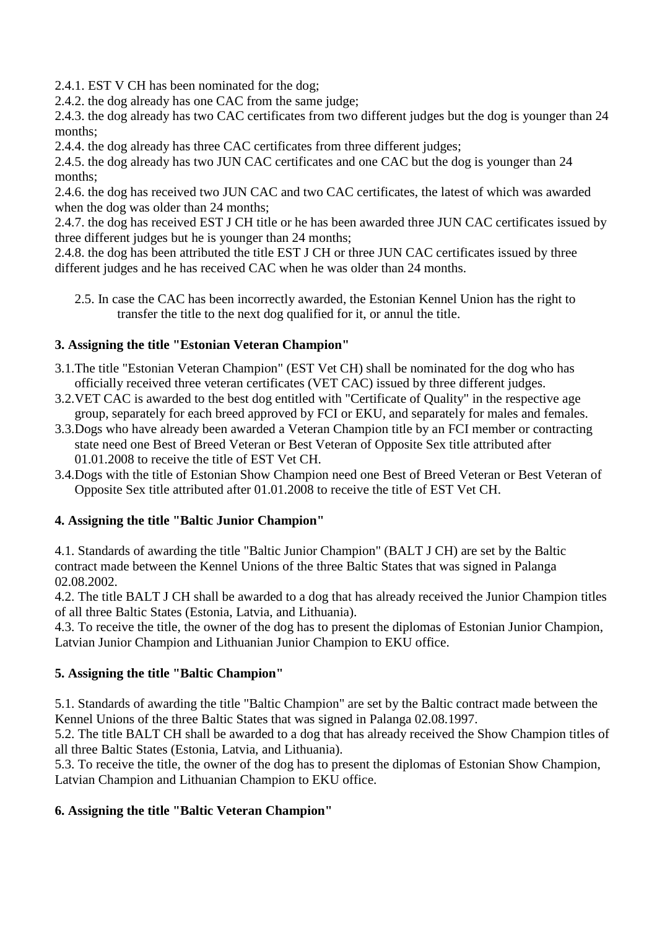2.4.1. EST V CH has been nominated for the dog;

2.4.2. the dog already has one CAC from the same judge;

2.4.3. the dog already has two CAC certificates from two different judges but the dog is younger than 24 months;

2.4.4. the dog already has three CAC certificates from three different judges;

2.4.5. the dog already has two JUN CAC certificates and one CAC but the dog is younger than 24 months;

2.4.6. the dog has received two JUN CAC and two CAC certificates, the latest of which was awarded when the dog was older than 24 months;

2.4.7. the dog has received EST J CH title or he has been awarded three JUN CAC certificates issued by three different judges but he is younger than 24 months;

2.4.8. the dog has been attributed the title EST J CH or three JUN CAC certificates issued by three different judges and he has received CAC when he was older than 24 months.

2.5. In case the CAC has been incorrectly awarded, the Estonian Kennel Union has the right to transfer the title to the next dog qualified for it, or annul the title.

## **3. Assigning the title "Estonian Veteran Champion"**

- 3.1.The title "Estonian Veteran Champion" (EST Vet CH) shall be nominated for the dog who has officially received three veteran certificates (VET CAC) issued by three different judges.
- 3.2.VET CAC is awarded to the best dog entitled with "Certificate of Quality" in the respective age group, separately for each breed approved by FCI or EKU, and separately for males and females.
- 3.3.Dogs who have already been awarded a Veteran Champion title by an FCI member or contracting state need one Best of Breed Veteran or Best Veteran of Opposite Sex title attributed after 01.01.2008 to receive the title of EST Vet CH.
- 3.4.Dogs with the title of Estonian Show Champion need one Best of Breed Veteran or Best Veteran of Opposite Sex title attributed after 01.01.2008 to receive the title of EST Vet CH.

## **4. Assigning the title "Baltic Junior Champion"**

4.1. Standards of awarding the title "Baltic Junior Champion" (BALT J CH) are set by the Baltic contract made between the Kennel Unions of the three Baltic States that was signed in Palanga 02.08.2002.

4.2. The title BALT J CH shall be awarded to a dog that has already received the Junior Champion titles of all three Baltic States (Estonia, Latvia, and Lithuania).

4.3. To receive the title, the owner of the dog has to present the diplomas of Estonian Junior Champion, Latvian Junior Champion and Lithuanian Junior Champion to EKU office.

## **5. Assigning the title "Baltic Champion"**

5.1. Standards of awarding the title "Baltic Champion" are set by the Baltic contract made between the Kennel Unions of the three Baltic States that was signed in Palanga 02.08.1997.

5.2. The title BALT CH shall be awarded to a dog that has already received the Show Champion titles of all three Baltic States (Estonia, Latvia, and Lithuania).

5.3. To receive the title, the owner of the dog has to present the diplomas of Estonian Show Champion, Latvian Champion and Lithuanian Champion to EKU office.

## **6. Assigning the title "Baltic Veteran Champion"**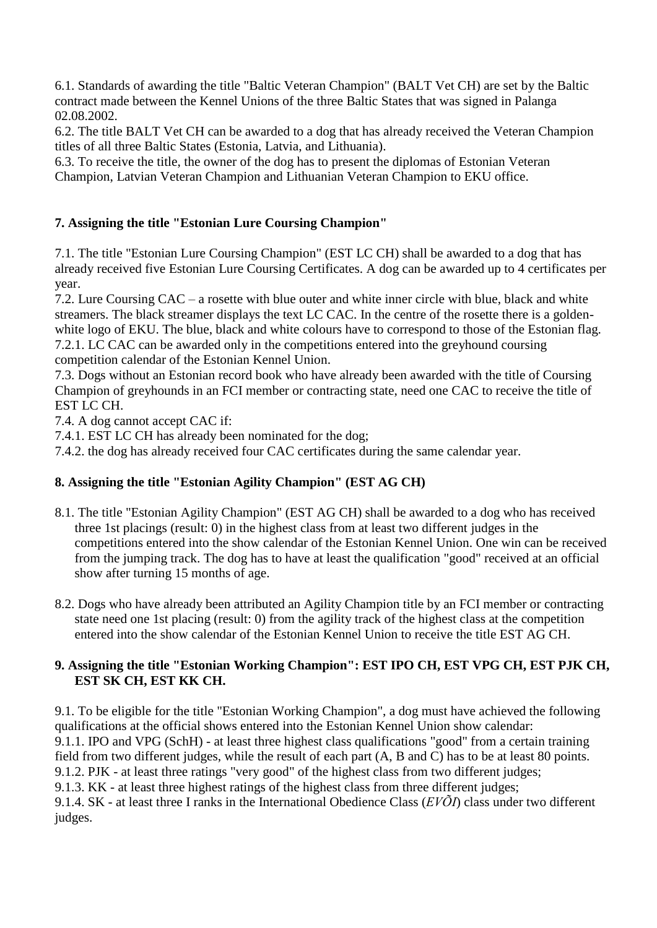6.1. Standards of awarding the title "Baltic Veteran Champion" (BALT Vet CH) are set by the Baltic contract made between the Kennel Unions of the three Baltic States that was signed in Palanga 02.08.2002.

6.2. The title BALT Vet CH can be awarded to a dog that has already received the Veteran Champion titles of all three Baltic States (Estonia, Latvia, and Lithuania).

6.3. To receive the title, the owner of the dog has to present the diplomas of Estonian Veteran Champion, Latvian Veteran Champion and Lithuanian Veteran Champion to EKU office.

#### **7. Assigning the title "Estonian Lure Coursing Champion"**

7.1. The title "Estonian Lure Coursing Champion" (EST LC CH) shall be awarded to a dog that has already received five Estonian Lure Coursing Certificates. A dog can be awarded up to 4 certificates per year.

7.2. Lure Coursing CAC – a rosette with blue outer and white inner circle with blue, black and white streamers. The black streamer displays the text LC CAC. In the centre of the rosette there is a goldenwhite logo of EKU. The blue, black and white colours have to correspond to those of the Estonian flag. 7.2.1. LC CAC can be awarded only in the competitions entered into the greyhound coursing competition calendar of the Estonian Kennel Union.

7.3. Dogs without an Estonian record book who have already been awarded with the title of Coursing Champion of greyhounds in an FCI member or contracting state, need one CAC to receive the title of EST LC CH.

7.4. A dog cannot accept CAC if:

7.4.1. EST LC CH has already been nominated for the dog;

7.4.2. the dog has already received four CAC certificates during the same calendar year.

## **8. Assigning the title "Estonian Agility Champion" (EST AG CH)**

- 8.1. The title "Estonian Agility Champion" (EST AG CH) shall be awarded to a dog who has received three 1st placings (result: 0) in the highest class from at least two different judges in the competitions entered into the show calendar of the Estonian Kennel Union. One win can be received from the jumping track. The dog has to have at least the qualification "good" received at an official show after turning 15 months of age.
- 8.2. Dogs who have already been attributed an Agility Champion title by an FCI member or contracting state need one 1st placing (result: 0) from the agility track of the highest class at the competition entered into the show calendar of the Estonian Kennel Union to receive the title EST AG CH.

#### **9. Assigning the title "Estonian Working Champion": EST IPO CH, EST VPG CH, EST PJK CH, EST SK CH, EST KK CH.**

9.1. To be eligible for the title "Estonian Working Champion", a dog must have achieved the following qualifications at the official shows entered into the Estonian Kennel Union show calendar: 9.1.1. IPO and VPG (SchH) - at least three highest class qualifications "good" from a certain training field from two different judges, while the result of each part (A, B and C) has to be at least 80 points. 9.1.2. PJK - at least three ratings "very good" of the highest class from two different judges; 9.1.3. KK - at least three highest ratings of the highest class from three different judges; 9.1.4. SK - at least three I ranks in the International Obedience Class (*EVÕI*) class under two different judges.